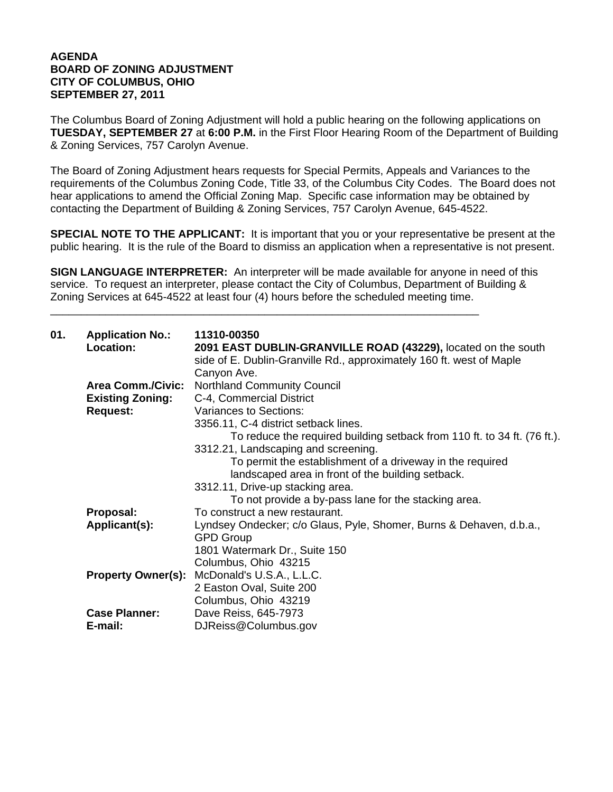## **AGENDA BOARD OF ZONING ADJUSTMENT CITY OF COLUMBUS, OHIO SEPTEMBER 27, 2011**

The Columbus Board of Zoning Adjustment will hold a public hearing on the following applications on **TUESDAY, SEPTEMBER 27** at **6:00 P.M.** in the First Floor Hearing Room of the Department of Building & Zoning Services, 757 Carolyn Avenue.

The Board of Zoning Adjustment hears requests for Special Permits, Appeals and Variances to the requirements of the Columbus Zoning Code, Title 33, of the Columbus City Codes. The Board does not hear applications to amend the Official Zoning Map. Specific case information may be obtained by contacting the Department of Building & Zoning Services, 757 Carolyn Avenue, 645-4522.

**SPECIAL NOTE TO THE APPLICANT:** It is important that you or your representative be present at the public hearing. It is the rule of the Board to dismiss an application when a representative is not present.

**SIGN LANGUAGE INTERPRETER:** An interpreter will be made available for anyone in need of this service. To request an interpreter, please contact the City of Columbus, Department of Building & Zoning Services at 645-4522 at least four (4) hours before the scheduled meeting time.

\_\_\_\_\_\_\_\_\_\_\_\_\_\_\_\_\_\_\_\_\_\_\_\_\_\_\_\_\_\_\_\_\_\_\_\_\_\_\_\_\_\_\_\_\_\_\_\_\_\_\_\_\_\_\_\_\_\_\_\_\_\_\_\_\_\_\_\_\_\_

| 01. | <b>Application No.:</b><br>Location: | 11310-00350<br>2091 EAST DUBLIN-GRANVILLE ROAD (43229), located on the south |
|-----|--------------------------------------|------------------------------------------------------------------------------|
|     |                                      | side of E. Dublin-Granville Rd., approximately 160 ft. west of Maple         |
|     |                                      | Canyon Ave.                                                                  |
|     | <b>Area Comm./Civic:</b>             | <b>Northland Community Council</b>                                           |
|     | <b>Existing Zoning:</b>              | C-4, Commercial District                                                     |
|     | <b>Request:</b>                      | Variances to Sections:                                                       |
|     |                                      | 3356.11, C-4 district setback lines.                                         |
|     |                                      | To reduce the required building setback from 110 ft. to 34 ft. (76 ft.).     |
|     |                                      | 3312.21, Landscaping and screening.                                          |
|     |                                      | To permit the establishment of a driveway in the required                    |
|     |                                      | landscaped area in front of the building setback.                            |
|     |                                      | 3312.11, Drive-up stacking area.                                             |
|     |                                      | To not provide a by-pass lane for the stacking area.                         |
|     | Proposal:                            | To construct a new restaurant.                                               |
|     | Applicant(s):                        | Lyndsey Ondecker; c/o Glaus, Pyle, Shomer, Burns & Dehaven, d.b.a.,          |
|     |                                      | <b>GPD Group</b>                                                             |
|     |                                      | 1801 Watermark Dr., Suite 150                                                |
|     |                                      | Columbus, Ohio 43215                                                         |
|     | <b>Property Owner(s):</b>            | McDonald's U.S.A., L.L.C.                                                    |
|     |                                      | 2 Easton Oval, Suite 200                                                     |
|     |                                      | Columbus, Ohio 43219                                                         |
|     | <b>Case Planner:</b>                 | Dave Reiss, 645-7973                                                         |
|     | E-mail:                              | DJReiss@Columbus.gov                                                         |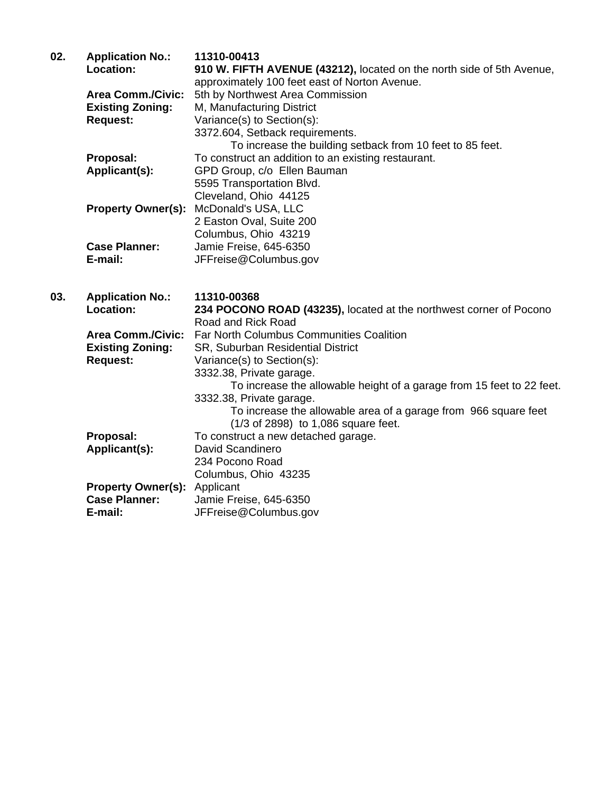| 02. | <b>Application No.:</b>  | 11310-00413                                                           |
|-----|--------------------------|-----------------------------------------------------------------------|
|     | Location:                | 910 W. FIFTH AVENUE (43212), located on the north side of 5th Avenue, |
|     |                          | approximately 100 feet east of Norton Avenue.                         |
|     | <b>Area Comm./Civic:</b> | 5th by Northwest Area Commission                                      |
|     | <b>Existing Zoning:</b>  | M, Manufacturing District                                             |
|     | <b>Request:</b>          | Variance(s) to Section(s):                                            |
|     |                          | 3372.604, Setback requirements.                                       |
|     |                          | To increase the building setback from 10 feet to 85 feet.             |
|     | Proposal:                | To construct an addition to an existing restaurant.                   |
|     | Applicant(s):            | GPD Group, c/o Ellen Bauman                                           |
|     |                          | 5595 Transportation Blvd.                                             |
|     |                          | Cleveland, Ohio 44125                                                 |
|     |                          | <b>Property Owner(s): McDonald's USA, LLC</b>                         |
|     |                          | 2 Easton Oval, Suite 200                                              |
|     |                          | Columbus, Ohio 43219                                                  |
|     | <b>Case Planner:</b>     | Jamie Freise, 645-6350                                                |
|     | E-mail:                  | JFFreise@Columbus.gov                                                 |

**03. Application No.: 11310-00368** 234 POCONO ROAD (43235), located at the northwest corner of Pocono Road and Rick Road  **Area Comm./Civic:** Far North Columbus Communities Coalition  **Existing Zoning:** SR, Suburban Residential District **Request:** Variance(s) to Section(s): 3332.38, Private garage. To increase the allowable height of a garage from 15 feet to 22 feet. 3332.38, Private garage. To increase the allowable area of a garage from 966 square feet (1/3 of 2898) to 1,086 square feet. **Proposal:** To construct a new detached garage. **Applicant(s):** David Scandinero 234 Pocono Road Columbus, Ohio 43235 **Property Owner(s):** Applicant **Case Planner:** Jamie Freise, 645-6350<br> **E-mail:** JFFreise@Columbus.go **E-mail:** JFFreise@Columbus.gov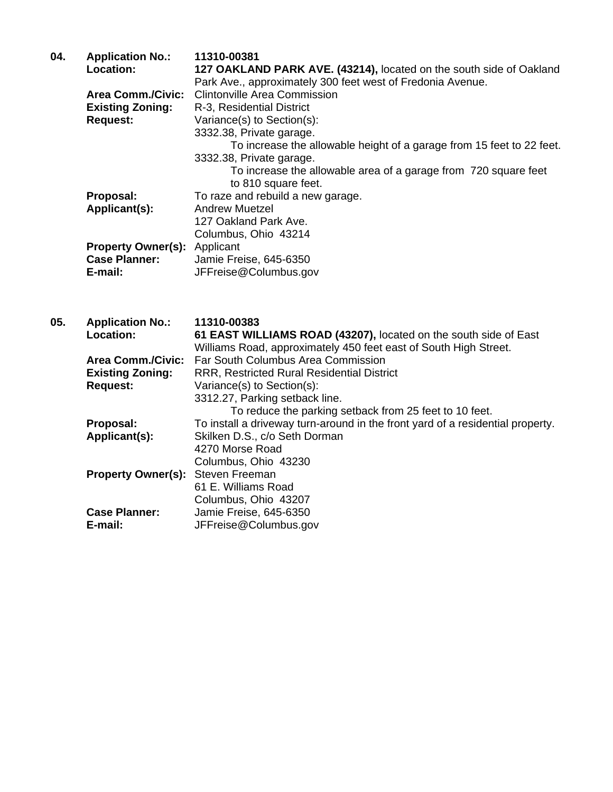| 127 OAKLAND PARK AVE. (43214), located on the south side of Oakland   |
|-----------------------------------------------------------------------|
|                                                                       |
|                                                                       |
|                                                                       |
|                                                                       |
|                                                                       |
| To increase the allowable height of a garage from 15 feet to 22 feet. |
|                                                                       |
| To increase the allowable area of a garage from 720 square feet       |
|                                                                       |
|                                                                       |
|                                                                       |
|                                                                       |
|                                                                       |
|                                                                       |
|                                                                       |
|                                                                       |
|                                                                       |
|                                                                       |

| 05. | <b>Application No.:</b>                  | 11310-00383                                                                    |
|-----|------------------------------------------|--------------------------------------------------------------------------------|
|     | <b>Location:</b>                         | 61 EAST WILLIAMS ROAD (43207), located on the south side of East               |
|     |                                          | Williams Road, approximately 450 feet east of South High Street.               |
|     | <b>Area Comm./Civic:</b>                 | Far South Columbus Area Commission                                             |
|     | <b>Existing Zoning:</b>                  | <b>RRR, Restricted Rural Residential District</b>                              |
|     | <b>Request:</b>                          | Variance(s) to Section(s):                                                     |
|     |                                          | 3312.27, Parking setback line.                                                 |
|     |                                          | To reduce the parking setback from 25 feet to 10 feet.                         |
|     | Proposal:                                | To install a driveway turn-around in the front yard of a residential property. |
|     | Applicant(s):                            | Skilken D.S., c/o Seth Dorman                                                  |
|     |                                          | 4270 Morse Road                                                                |
|     |                                          | Columbus, Ohio 43230                                                           |
|     | <b>Property Owner(s): Steven Freeman</b> |                                                                                |
|     |                                          | 61 E. Williams Road                                                            |
|     |                                          | Columbus, Ohio 43207                                                           |
|     | <b>Case Planner:</b>                     | Jamie Freise, 645-6350                                                         |
|     | E-mail:                                  | JFFreise@Columbus.gov                                                          |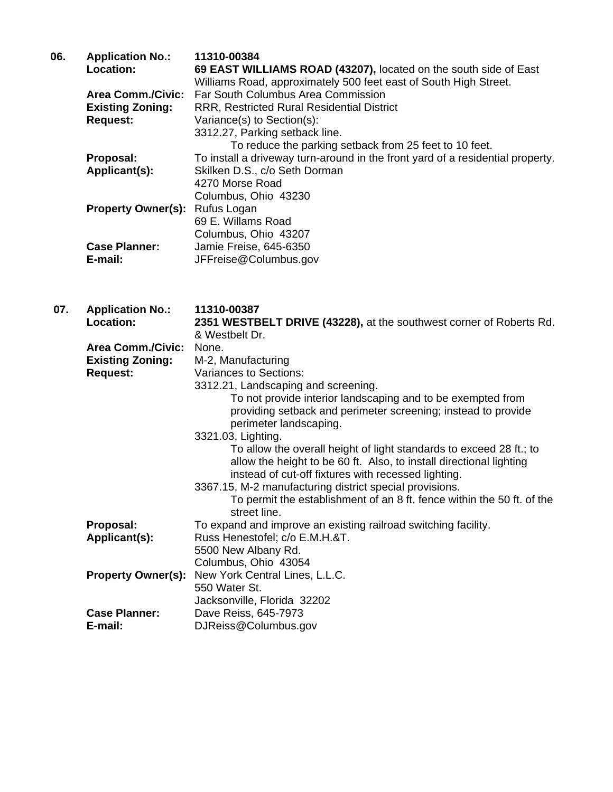| 06. | <b>Application No.:</b>   | 11310-00384                                                                    |
|-----|---------------------------|--------------------------------------------------------------------------------|
|     | <b>Location:</b>          | 69 EAST WILLIAMS ROAD (43207), located on the south side of East               |
|     |                           | Williams Road, approximately 500 feet east of South High Street.               |
|     | <b>Area Comm./Civic:</b>  | Far South Columbus Area Commission                                             |
|     | <b>Existing Zoning:</b>   | <b>RRR, Restricted Rural Residential District</b>                              |
|     | <b>Request:</b>           | Variance(s) to Section(s):                                                     |
|     |                           | 3312.27, Parking setback line.                                                 |
|     |                           | To reduce the parking setback from 25 feet to 10 feet.                         |
|     | Proposal:                 | To install a driveway turn-around in the front yard of a residential property. |
|     | Applicant(s):             | Skilken D.S., c/o Seth Dorman                                                  |
|     |                           | 4270 Morse Road                                                                |
|     |                           | Columbus, Ohio 43230                                                           |
|     | <b>Property Owner(s):</b> | Rufus Logan                                                                    |
|     |                           | 69 E. Willams Road                                                             |
|     |                           | Columbus, Ohio 43207                                                           |
|     | <b>Case Planner:</b>      | Jamie Freise, 645-6350                                                         |
|     | E-mail:                   | JFFreise@Columbus.gov                                                          |
|     |                           |                                                                                |

 **07. Application No.: 11310-00387 Location: 2351 WESTBELT DRIVE (43228),** at the southwest corner of Roberts Rd. & Westbelt Dr.  **Area Comm./Civic:** None.  **Existing Zoning:** M-2, Manufacturing **Request:** Variances to Sections: 3312.21, Landscaping and screening. To not provide interior landscaping and to be exempted from providing setback and perimeter screening; instead to provide perimeter landscaping. 3321.03, Lighting. To allow the overall height of light standards to exceed 28 ft.; to allow the height to be 60 ft. Also, to install directional lighting instead of cut-off fixtures with recessed lighting. 3367.15, M-2 manufacturing district special provisions. To permit the establishment of an 8 ft. fence within the 50 ft. of the street line. **Proposal:** To expand and improve an existing railroad switching facility.  **Applicant(s):** Russ Henestofel; c/o E.M.H.&T. 5500 New Albany Rd. Columbus, Ohio 43054 **Property Owner(s):** New York Central Lines, L.L.C. 550 Water St. Jacksonville, Florida 32202 **Case Planner:** Dave Reiss, 645-7973 **E-mail:** DJReiss@Columbus.gov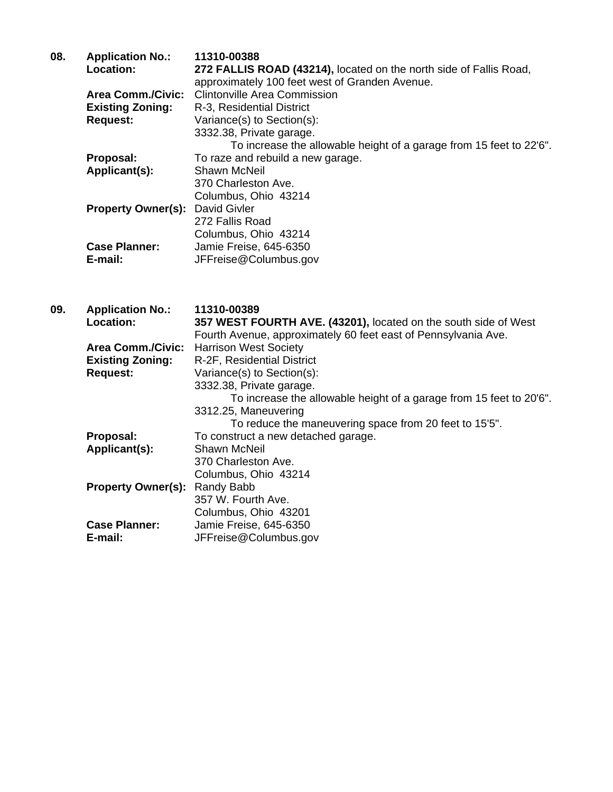| 08. | <b>Application No.:</b>   | 11310-00388                                                         |
|-----|---------------------------|---------------------------------------------------------------------|
|     | <b>Location:</b>          | 272 FALLIS ROAD (43214), located on the north side of Fallis Road,  |
|     |                           | approximately 100 feet west of Granden Avenue.                      |
|     | <b>Area Comm./Civic:</b>  | <b>Clintonville Area Commission</b>                                 |
|     | <b>Existing Zoning:</b>   | R-3, Residential District                                           |
|     | <b>Request:</b>           | Variance(s) to Section(s):                                          |
|     |                           | 3332.38, Private garage.                                            |
|     |                           | To increase the allowable height of a garage from 15 feet to 22'6". |
|     | Proposal:                 | To raze and rebuild a new garage.                                   |
|     | Applicant(s):             | Shawn McNeil                                                        |
|     |                           | 370 Charleston Ave.                                                 |
|     |                           | Columbus, Ohio 43214                                                |
|     | <b>Property Owner(s):</b> | David Givler                                                        |
|     |                           | 272 Fallis Road                                                     |
|     |                           | Columbus, Ohio 43214                                                |
|     | <b>Case Planner:</b>      | Jamie Freise, 645-6350                                              |
|     | E-mail:                   | JFFreise@Columbus.gov                                               |

| 09. | <b>Application No.:</b>   | 11310-00389                                                         |
|-----|---------------------------|---------------------------------------------------------------------|
|     | Location:                 | 357 WEST FOURTH AVE. (43201), located on the south side of West     |
|     |                           | Fourth Avenue, approximately 60 feet east of Pennsylvania Ave.      |
|     | <b>Area Comm./Civic:</b>  | <b>Harrison West Society</b>                                        |
|     | <b>Existing Zoning:</b>   | R-2F, Residential District                                          |
|     | <b>Request:</b>           | Variance(s) to Section(s):                                          |
|     |                           | 3332.38, Private garage.                                            |
|     |                           | To increase the allowable height of a garage from 15 feet to 20'6". |
|     |                           | 3312.25, Maneuvering                                                |
|     |                           | To reduce the maneuvering space from 20 feet to 15'5".              |
|     | Proposal:                 | To construct a new detached garage.                                 |
|     | Applicant(s):             | Shawn McNeil                                                        |
|     |                           | 370 Charleston Ave.                                                 |
|     |                           | Columbus, Ohio 43214                                                |
|     | <b>Property Owner(s):</b> | Randy Babb                                                          |
|     |                           | 357 W. Fourth Ave.                                                  |
|     |                           | Columbus, Ohio 43201                                                |
|     | <b>Case Planner:</b>      | Jamie Freise, 645-6350                                              |
|     | E-mail:                   | JFFreise@Columbus.gov                                               |
|     |                           |                                                                     |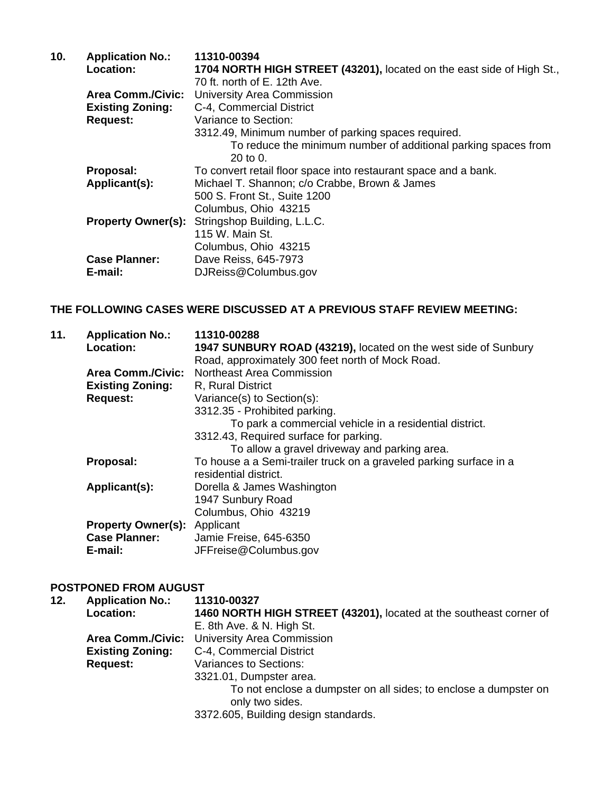| 10. | <b>Application No.:</b>   | 11310-00394                                                           |
|-----|---------------------------|-----------------------------------------------------------------------|
|     | <b>Location:</b>          | 1704 NORTH HIGH STREET (43201), located on the east side of High St., |
|     |                           | 70 ft. north of E. 12th Ave.                                          |
|     | <b>Area Comm./Civic:</b>  | University Area Commission                                            |
|     | <b>Existing Zoning:</b>   | C-4, Commercial District                                              |
|     | <b>Request:</b>           | Variance to Section:                                                  |
|     |                           | 3312.49, Minimum number of parking spaces required.                   |
|     |                           | To reduce the minimum number of additional parking spaces from        |
|     |                           | 20 to 0.                                                              |
|     | Proposal:                 | To convert retail floor space into restaurant space and a bank.       |
|     | Applicant(s):             | Michael T. Shannon; c/o Crabbe, Brown & James                         |
|     |                           | 500 S. Front St., Suite 1200                                          |
|     |                           | Columbus, Ohio 43215                                                  |
|     | <b>Property Owner(s):</b> | Stringshop Building, L.L.C.                                           |
|     |                           | 115 W. Main St.                                                       |
|     |                           | Columbus, Ohio 43215                                                  |
|     | <b>Case Planner:</b>      | Dave Reiss, 645-7973                                                  |
|     | E-mail:                   | DJReiss@Columbus.gov                                                  |

## **THE FOLLOWING CASES WERE DISCUSSED AT A PREVIOUS STAFF REVIEW MEETING:**

| 11. | <b>Application No.:</b>   | 11310-00288                                                        |
|-----|---------------------------|--------------------------------------------------------------------|
|     | Location:                 | 1947 SUNBURY ROAD (43219), located on the west side of Sunbury     |
|     |                           | Road, approximately 300 feet north of Mock Road.                   |
|     | <b>Area Comm./Civic:</b>  | <b>Northeast Area Commission</b>                                   |
|     | <b>Existing Zoning:</b>   | R, Rural District                                                  |
|     | <b>Request:</b>           | Variance(s) to Section(s):                                         |
|     |                           | 3312.35 - Prohibited parking.                                      |
|     |                           | To park a commercial vehicle in a residential district.            |
|     |                           | 3312.43, Required surface for parking.                             |
|     |                           | To allow a gravel driveway and parking area.                       |
|     | Proposal:                 | To house a a Semi-trailer truck on a graveled parking surface in a |
|     |                           | residential district.                                              |
|     | Applicant(s):             | Dorella & James Washington                                         |
|     |                           | 1947 Sunbury Road                                                  |
|     |                           | Columbus, Ohio 43219                                               |
|     | <b>Property Owner(s):</b> | Applicant                                                          |
|     | <b>Case Planner:</b>      | Jamie Freise, 645-6350                                             |
|     | E-mail:                   | JFFreise@Columbus.gov                                              |

## **POSTPONED FROM AUGUST**

| 12. | <b>Application No.:</b>  | 11310-00327                                                        |
|-----|--------------------------|--------------------------------------------------------------------|
|     | <b>Location:</b>         | 1460 NORTH HIGH STREET (43201), located at the southeast corner of |
|     |                          | E. 8th Ave. & N. High St.                                          |
|     | <b>Area Comm./Civic:</b> | <b>University Area Commission</b>                                  |
|     | <b>Existing Zoning:</b>  | C-4, Commercial District                                           |
|     | <b>Request:</b>          | <b>Variances to Sections:</b>                                      |
|     |                          | 3321.01, Dumpster area.                                            |
|     |                          | To not enclose a dumpster on all sides; to enclose a dumpster on   |
|     |                          | only two sides.                                                    |
|     |                          | 3372.605, Building design standards.                               |